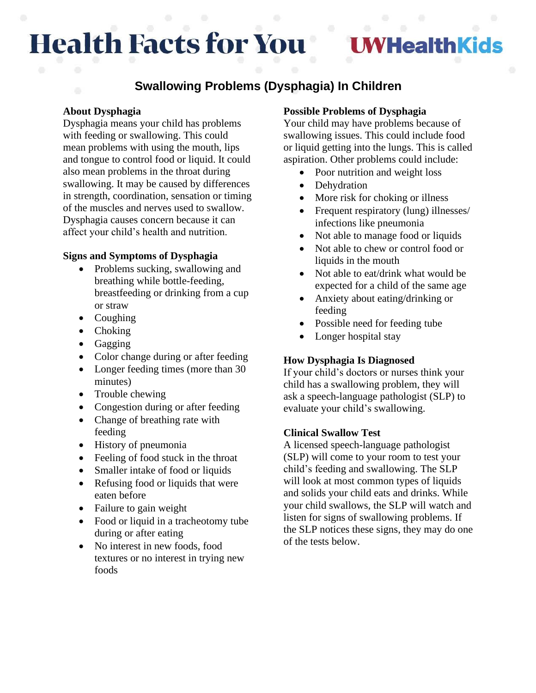# **Health Facts for You**

## **/HealthKids**

### **Swallowing Problems (Dysphagia) In Children**

#### **About Dysphagia**

Dysphagia means your child has problems with feeding or swallowing. This could mean problems with using the mouth, lips and tongue to control food or liquid. It could also mean problems in the throat during swallowing. It may be caused by differences in strength, coordination, sensation or timing of the muscles and nerves used to swallow. Dysphagia causes concern because it can affect your child's health and nutrition.

#### **Signs and Symptoms of Dysphagia**

- Problems sucking, swallowing and breathing while bottle-feeding, breastfeeding or drinking from a cup or straw
- Coughing
- Choking
- Gagging
- Color change during or after feeding
- Longer feeding times (more than 30 minutes)
- Trouble chewing
- Congestion during or after feeding
- Change of breathing rate with feeding
- History of pneumonia
- Feeling of food stuck in the throat
- Smaller intake of food or liquids
- Refusing food or liquids that were eaten before
- Failure to gain weight
- Food or liquid in a tracheotomy tube during or after eating
- No interest in new foods, food textures or no interest in trying new foods

#### **Possible Problems of Dysphagia**

Your child may have problems because of swallowing issues. This could include food or liquid getting into the lungs. This is called aspiration. Other problems could include:

- Poor nutrition and weight loss
- Dehydration
- More risk for choking or illness
- Frequent respiratory (lung) illnesses/ infections like pneumonia
- Not able to manage food or liquids
- Not able to chew or control food or liquids in the mouth
- Not able to eat/drink what would be expected for a child of the same age
- Anxiety about eating/drinking or feeding
- Possible need for feeding tube
- Longer hospital stay

#### **How Dysphagia Is Diagnosed**

If your child's doctors or nurses think your child has a swallowing problem, they will ask a speech-language pathologist (SLP) to evaluate your child's swallowing.

#### **Clinical Swallow Test**

A licensed speech-language pathologist (SLP) will come to your room to test your child's feeding and swallowing. The SLP will look at most common types of liquids and solids your child eats and drinks. While your child swallows, the SLP will watch and listen for signs of swallowing problems. If the SLP notices these signs, they may do one of the tests below.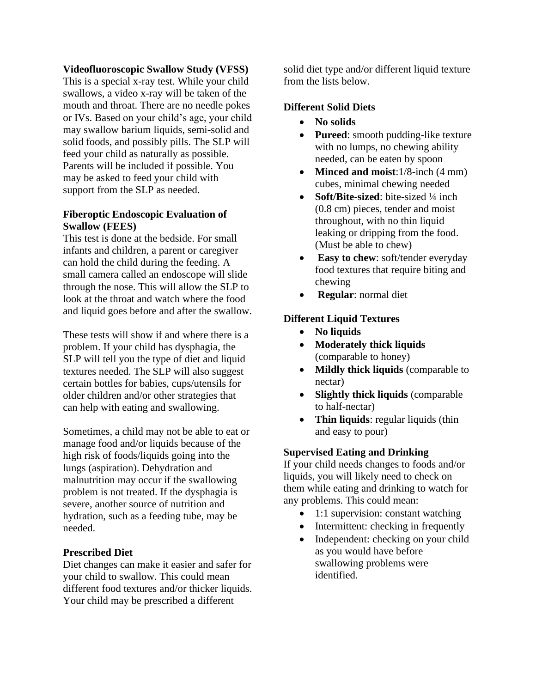#### **Videofluoroscopic Swallow Study (VFSS)**

This is a special x-ray test. While your child swallows, a video x-ray will be taken of the mouth and throat. There are no needle pokes or IVs. Based on your child's age, your child may swallow barium liquids, semi-solid and solid foods, and possibly pills. The SLP will feed your child as naturally as possible. Parents will be included if possible. You may be asked to feed your child with support from the SLP as needed.

#### **Fiberoptic Endoscopic Evaluation of Swallow (FEES)**

This test is done at the bedside. For small infants and children, a parent or caregiver can hold the child during the feeding. A small camera called an endoscope will slide through the nose. This will allow the SLP to look at the throat and watch where the food and liquid goes before and after the swallow.

These tests will show if and where there is a problem. If your child has dysphagia, the SLP will tell you the type of diet and liquid textures needed. The SLP will also suggest certain bottles for babies, cups/utensils for older children and/or other strategies that can help with eating and swallowing.

Sometimes, a child may not be able to eat or manage food and/or liquids because of the high risk of foods/liquids going into the lungs (aspiration). Dehydration and malnutrition may occur if the swallowing problem is not treated. If the dysphagia is severe, another source of nutrition and hydration, such as a feeding tube, may be needed.

#### **Prescribed Diet**

Diet changes can make it easier and safer for your child to swallow. This could mean different food textures and/or thicker liquids. Your child may be prescribed a different

solid diet type and/or different liquid texture from the lists below.

#### **Different Solid Diets**

- **No solids**
- **Pureed**: smooth pudding-like texture with no lumps, no chewing ability needed, can be eaten by spoon
- **Minced and moist**:1/8-inch (4 mm) cubes, minimal chewing needed
- **Soft/Bite-sized**: bite-sized 1/4 inch (0.8 cm) pieces, tender and moist throughout, with no thin liquid leaking or dripping from the food. (Must be able to chew)
- **Easy to chew**: soft/tender everyday food textures that require biting and chewing
- **Regular**: normal diet

#### **Different Liquid Textures**

- **No liquids**
- **Moderately thick liquids** (comparable to honey)
- **Mildly thick liquids** (comparable to nectar)
- **Slightly thick liquids** (comparable to half-nectar)
- **Thin liquids**: regular liquids (thin and easy to pour)

#### **Supervised Eating and Drinking**

If your child needs changes to foods and/or liquids, you will likely need to check on them while eating and drinking to watch for any problems. This could mean:

- 1:1 supervision: constant watching
- Intermittent: checking in frequently
- Independent: checking on your child as you would have before swallowing problems were identified.